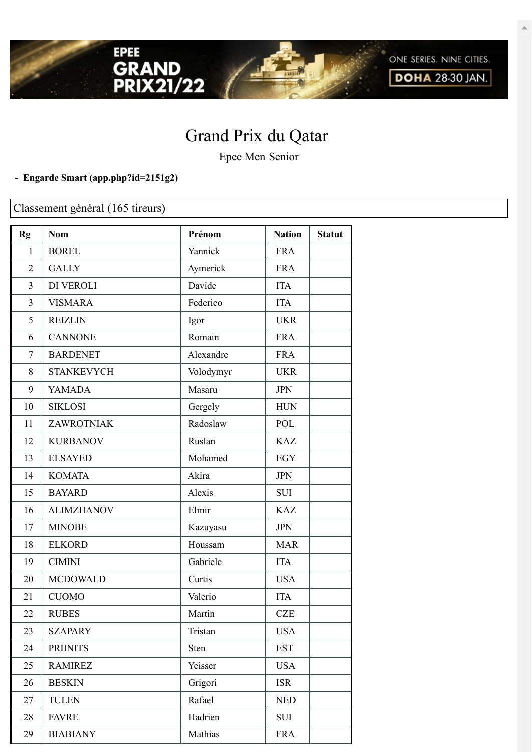

Epee Men Senior

## **- Engarde Smart [\(app.php?id=2151g2\)](https://engarde-service.com/app.php?id=2151g2)**

EPEE

GRAND<br>PRIX21/22

Classement général (165 tireurs)

| Rg             | <b>Nom</b>        | Prénom    | <b>Nation</b> | <b>Statut</b> |
|----------------|-------------------|-----------|---------------|---------------|
| 1              | <b>BOREL</b>      | Yannick   | <b>FRA</b>    |               |
| $\overline{2}$ | <b>GALLY</b>      | Aymerick  | <b>FRA</b>    |               |
| 3              | DI VEROLI         | Davide    | <b>ITA</b>    |               |
| 3              | <b>VISMARA</b>    | Federico  | <b>ITA</b>    |               |
| 5              | <b>REIZLIN</b>    | Igor      | <b>UKR</b>    |               |
| 6              | <b>CANNONE</b>    | Romain    | <b>FRA</b>    |               |
| $\tau$         | <b>BARDENET</b>   | Alexandre | <b>FRA</b>    |               |
| 8              | <b>STANKEVYCH</b> | Volodymyr | <b>UKR</b>    |               |
| 9              | <b>YAMADA</b>     | Masaru    | <b>JPN</b>    |               |
| 10             | <b>SIKLOSI</b>    | Gergely   | <b>HUN</b>    |               |
| 11             | ZAWROTNIAK        | Radoslaw  | POL           |               |
| 12             | <b>KURBANOV</b>   | Ruslan    | <b>KAZ</b>    |               |
| 13             | <b>ELSAYED</b>    | Mohamed   | <b>EGY</b>    |               |
| 14             | <b>KOMATA</b>     | Akira     | <b>JPN</b>    |               |
| 15             | <b>BAYARD</b>     | Alexis    | <b>SUI</b>    |               |
| 16             | <b>ALIMZHANOV</b> | Elmir     | <b>KAZ</b>    |               |
| 17             | <b>MINOBE</b>     | Kazuyasu  | <b>JPN</b>    |               |
| 18             | <b>ELKORD</b>     | Houssam   | <b>MAR</b>    |               |
| 19             | <b>CIMINI</b>     | Gabriele  | <b>ITA</b>    |               |
| 20             | <b>MCDOWALD</b>   | Curtis    | <b>USA</b>    |               |
| 21             | <b>CUOMO</b>      | Valerio   | <b>ITA</b>    |               |
| 22             | <b>RUBES</b>      | Martin    | <b>CZE</b>    |               |
| 23             | <b>SZAPARY</b>    | Tristan   | <b>USA</b>    |               |
| 24             | <b>PRIINITS</b>   | Sten      | <b>EST</b>    |               |
| 25             | <b>RAMIREZ</b>    | Yeisser   | <b>USA</b>    |               |
| 26             | <b>BESKIN</b>     | Grigori   | <b>ISR</b>    |               |
| 27             | <b>TULEN</b>      | Rafael    | <b>NED</b>    |               |
| 28             | <b>FAVRE</b>      | Hadrien   | SUI           |               |
| 29             | <b>BIABIANY</b>   | Mathias   | <b>FRA</b>    |               |

ONE SERIES. NINE CITIES. **DOHA 28-30 JAN.**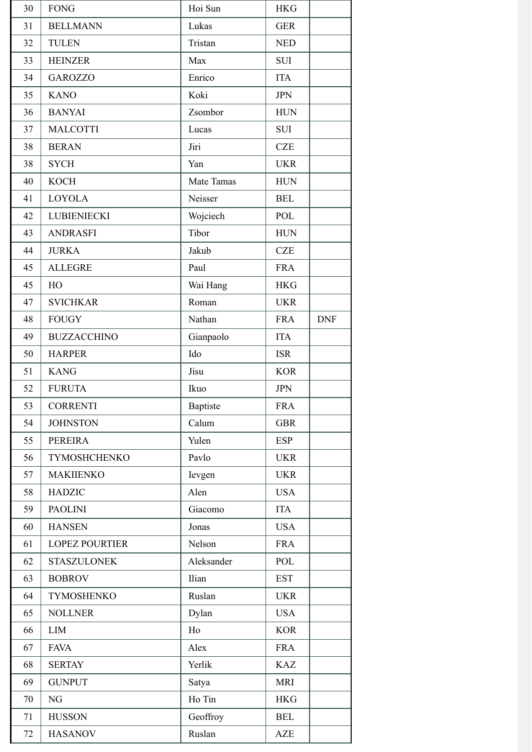| 30 | <b>FONG</b>           | Hoi Sun    | <b>HKG</b> |            |
|----|-----------------------|------------|------------|------------|
| 31 | <b>BELLMANN</b>       | Lukas      | <b>GER</b> |            |
| 32 | <b>TULEN</b>          | Tristan    | <b>NED</b> |            |
| 33 | <b>HEINZER</b>        | Max        | <b>SUI</b> |            |
| 34 | <b>GAROZZO</b>        | Enrico     | <b>ITA</b> |            |
| 35 | <b>KANO</b>           | Koki       | <b>JPN</b> |            |
| 36 | <b>BANYAI</b>         | Zsombor    | <b>HUN</b> |            |
| 37 | <b>MALCOTTI</b>       | Lucas      | SUI        |            |
| 38 | <b>BERAN</b>          | Jiri       | <b>CZE</b> |            |
| 38 | <b>SYCH</b>           | Yan        | <b>UKR</b> |            |
| 40 | <b>KOCH</b>           | Mate Tamas | <b>HUN</b> |            |
| 41 | <b>LOYOLA</b>         | Neisser    | <b>BEL</b> |            |
| 42 | <b>LUBIENIECKI</b>    | Wojciech   | POL        |            |
| 43 | <b>ANDRASFI</b>       | Tibor      | <b>HUN</b> |            |
| 44 | <b>JURKA</b>          | Jakub      | <b>CZE</b> |            |
| 45 | <b>ALLEGRE</b>        | Paul       | <b>FRA</b> |            |
| 45 | HO                    | Wai Hang   | <b>HKG</b> |            |
| 47 | <b>SVICHKAR</b>       | Roman      | <b>UKR</b> |            |
| 48 | <b>FOUGY</b>          | Nathan     | <b>FRA</b> | <b>DNF</b> |
| 49 | <b>BUZZACCHINO</b>    | Gianpaolo  | <b>ITA</b> |            |
| 50 | <b>HARPER</b>         | Ido        | <b>ISR</b> |            |
| 51 | <b>KANG</b>           | Jisu       | <b>KOR</b> |            |
| 52 | <b>FURUTA</b>         | Ikuo       | <b>JPN</b> |            |
| 53 | <b>CORRENTI</b>       | Baptiste   | <b>FRA</b> |            |
| 54 | <b>JOHNSTON</b>       | Calum      | <b>GBR</b> |            |
| 55 | <b>PEREIRA</b>        | Yulen      | <b>ESP</b> |            |
| 56 | TYMOSHCHENKO          | Pavlo      | <b>UKR</b> |            |
| 57 | <b>MAKIIENKO</b>      | Ievgen     | <b>UKR</b> |            |
| 58 | <b>HADZIC</b>         | Alen       | <b>USA</b> |            |
| 59 | <b>PAOLINI</b>        | Giacomo    | <b>ITA</b> |            |
| 60 | <b>HANSEN</b>         | Jonas      | <b>USA</b> |            |
| 61 | <b>LOPEZ POURTIER</b> | Nelson     | <b>FRA</b> |            |
| 62 | <b>STASZULONEK</b>    | Aleksander | POL        |            |
| 63 | <b>BOBROV</b>         | Ilian      | <b>EST</b> |            |
| 64 | <b>TYMOSHENKO</b>     | Ruslan     | <b>UKR</b> |            |
| 65 | <b>NOLLNER</b>        | Dylan      | <b>USA</b> |            |
| 66 | <b>LIM</b>            | Ho         | <b>KOR</b> |            |
| 67 | <b>FAVA</b>           | Alex       | <b>FRA</b> |            |
| 68 | <b>SERTAY</b>         | Yerlik     | <b>KAZ</b> |            |
| 69 | <b>GUNPUT</b>         | Satya      | <b>MRI</b> |            |
| 70 | NG                    | Ho Tin     | <b>HKG</b> |            |
| 71 | <b>HUSSON</b>         | Geoffroy   | <b>BEL</b> |            |
| 72 | <b>HASANOV</b>        | Ruslan     | <b>AZE</b> |            |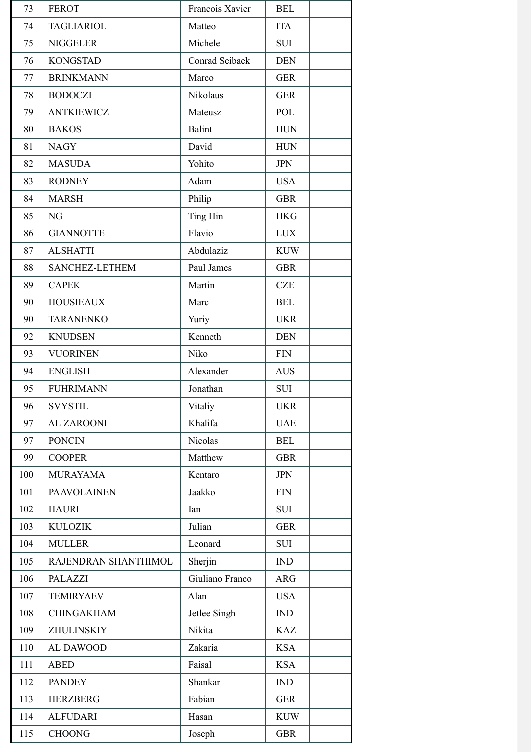| 73  | <b>FEROT</b>         | Francois Xavier | <b>BEL</b> |
|-----|----------------------|-----------------|------------|
| 74  | <b>TAGLIARIOL</b>    | Matteo          | <b>ITA</b> |
| 75  | <b>NIGGELER</b>      | Michele         | <b>SUI</b> |
| 76  | <b>KONGSTAD</b>      | Conrad Seibaek  | <b>DEN</b> |
| 77  | <b>BRINKMANN</b>     | Marco           | <b>GER</b> |
| 78  | <b>BODOCZI</b>       | Nikolaus        | <b>GER</b> |
| 79  | <b>ANTKIEWICZ</b>    | Mateusz         | POL        |
| 80  | <b>BAKOS</b>         | <b>Balint</b>   | <b>HUN</b> |
| 81  | <b>NAGY</b>          | David           | <b>HUN</b> |
| 82  | <b>MASUDA</b>        | Yohito          | <b>JPN</b> |
| 83  | <b>RODNEY</b>        | Adam            | <b>USA</b> |
| 84  | <b>MARSH</b>         | Philip          | <b>GBR</b> |
| 85  | NG                   | Ting Hin        | <b>HKG</b> |
| 86  | <b>GIANNOTTE</b>     | Flavio          | <b>LUX</b> |
| 87  | <b>ALSHATTI</b>      | Abdulaziz       | <b>KUW</b> |
| 88  | SANCHEZ-LETHEM       | Paul James      | <b>GBR</b> |
| 89  | <b>CAPEK</b>         | Martin          | <b>CZE</b> |
| 90  | <b>HOUSIEAUX</b>     | Marc            | <b>BEL</b> |
| 90  | <b>TARANENKO</b>     | Yuriy           | <b>UKR</b> |
| 92  | <b>KNUDSEN</b>       | Kenneth         | <b>DEN</b> |
| 93  | <b>VUORINEN</b>      | Niko            | <b>FIN</b> |
| 94  | <b>ENGLISH</b>       | Alexander       | <b>AUS</b> |
| 95  | <b>FUHRIMANN</b>     | Jonathan        | <b>SUI</b> |
| 96  | SVYSTIL              | Vitaliy         | UKR        |
| 97  | <b>AL ZAROONI</b>    | Khalifa         | <b>UAE</b> |
| 97  | <b>PONCIN</b>        | Nicolas         | <b>BEL</b> |
| 99  | <b>COOPER</b>        | Matthew         | <b>GBR</b> |
| 100 | <b>MURAYAMA</b>      | Kentaro         | <b>JPN</b> |
| 101 | <b>PAAVOLAINEN</b>   | Jaakko          | <b>FIN</b> |
| 102 | <b>HAURI</b>         | Ian             | <b>SUI</b> |
| 103 | <b>KULOZIK</b>       | Julian          | <b>GER</b> |
| 104 | <b>MULLER</b>        | Leonard         | <b>SUI</b> |
| 105 | RAJENDRAN SHANTHIMOL | Sherjin         | IND        |
| 106 | <b>PALAZZI</b>       | Giuliano Franco | ARG        |
| 107 | <b>TEMIRYAEV</b>     | Alan            | <b>USA</b> |
| 108 | <b>CHINGAKHAM</b>    | Jetlee Singh    | <b>IND</b> |
| 109 | <b>ZHULINSKIY</b>    | Nikita          | <b>KAZ</b> |
| 110 | AL DAWOOD            | Zakaria         | <b>KSA</b> |
| 111 | <b>ABED</b>          | Faisal          | <b>KSA</b> |
| 112 | <b>PANDEY</b>        | Shankar         | <b>IND</b> |
| 113 | <b>HERZBERG</b>      | Fabian          | <b>GER</b> |
| 114 | <b>ALFUDARI</b>      | Hasan           | <b>KUW</b> |
| 115 | <b>CHOONG</b>        | Joseph          | <b>GBR</b> |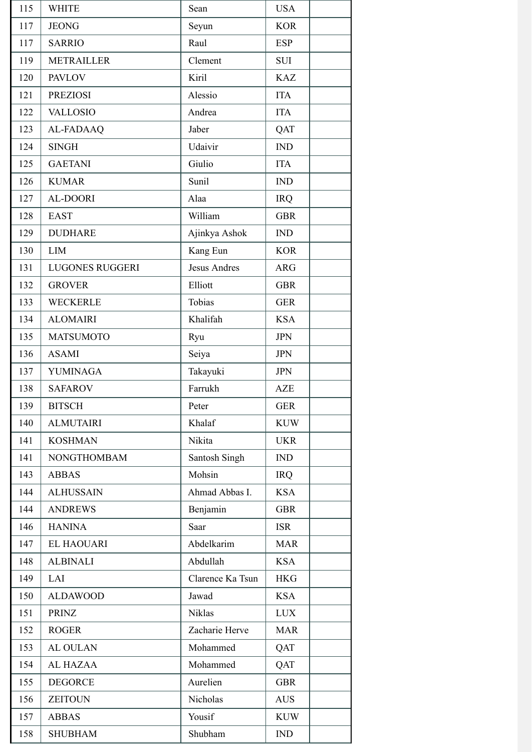| 115 | <b>WHITE</b>           | Sean                | <b>USA</b> |
|-----|------------------------|---------------------|------------|
| 117 | <b>JEONG</b>           | Seyun               | <b>KOR</b> |
| 117 | <b>SARRIO</b>          | Raul                | <b>ESP</b> |
| 119 | <b>METRAILLER</b>      | Clement             | <b>SUI</b> |
| 120 | <b>PAVLOV</b>          | Kiril               | <b>KAZ</b> |
| 121 | <b>PREZIOSI</b>        | Alessio             | <b>ITA</b> |
| 122 | <b>VALLOSIO</b>        | Andrea              | <b>ITA</b> |
| 123 | <b>AL-FADAAQ</b>       | Jaber               | QAT        |
| 124 | <b>SINGH</b>           | Udaivir             | IND        |
| 125 | <b>GAETANI</b>         | Giulio              | <b>ITA</b> |
| 126 | <b>KUMAR</b>           | Sunil               | IND        |
| 127 | <b>AL-DOORI</b>        | Alaa                | <b>IRQ</b> |
| 128 | <b>EAST</b>            | William             | <b>GBR</b> |
| 129 | <b>DUDHARE</b>         | Ajinkya Ashok       | IND        |
| 130 | <b>LIM</b>             | Kang Eun            | <b>KOR</b> |
| 131 | <b>LUGONES RUGGERI</b> | <b>Jesus Andres</b> | <b>ARG</b> |
| 132 | <b>GROVER</b>          | Elliott             | <b>GBR</b> |
| 133 | <b>WECKERLE</b>        | Tobias              | <b>GER</b> |
| 134 | <b>ALOMAIRI</b>        | Khalifah            | <b>KSA</b> |
| 135 | <b>MATSUMOTO</b>       | Ryu                 | <b>JPN</b> |
| 136 | <b>ASAMI</b>           | Seiya               | <b>JPN</b> |
| 137 | <b>YUMINAGA</b>        | Takayuki            | <b>JPN</b> |
| 138 | <b>SAFAROV</b>         | Farrukh             | <b>AZE</b> |
| 139 | <b>BITSCH</b>          | Peter               | <b>GER</b> |
| 140 | <b>ALMUTAIRI</b>       | Khalaf              | <b>KUW</b> |
| 141 | <b>KOSHMAN</b>         | Nikita              | <b>UKR</b> |
| 141 | <b>NONGTHOMBAM</b>     | Santosh Singh       | IND        |
| 143 | <b>ABBAS</b>           | Mohsin              | <b>IRQ</b> |
| 144 | <b>ALHUSSAIN</b>       | Ahmad Abbas I.      | <b>KSA</b> |
| 144 | <b>ANDREWS</b>         | Benjamin            | <b>GBR</b> |
| 146 | <b>HANINA</b>          | Saar                | <b>ISR</b> |
| 147 | <b>EL HAOUARI</b>      | Abdelkarim          | <b>MAR</b> |
| 148 | <b>ALBINALI</b>        | Abdullah            | <b>KSA</b> |
| 149 | LAI                    | Clarence Ka Tsun    | <b>HKG</b> |
| 150 | <b>ALDAWOOD</b>        | Jawad               | <b>KSA</b> |
| 151 | <b>PRINZ</b>           | Niklas              | <b>LUX</b> |
| 152 | <b>ROGER</b>           | Zacharie Herve      | <b>MAR</b> |
| 153 | <b>AL OULAN</b>        | Mohammed            | QAT        |
| 154 | AL HAZAA               | Mohammed            | QAT        |
| 155 | <b>DEGORCE</b>         | Aurelien            | <b>GBR</b> |
| 156 | <b>ZEITOUN</b>         | Nicholas            | <b>AUS</b> |
| 157 | <b>ABBAS</b>           | Yousif              | <b>KUW</b> |
| 158 | <b>SHUBHAM</b>         | Shubham             | IND        |